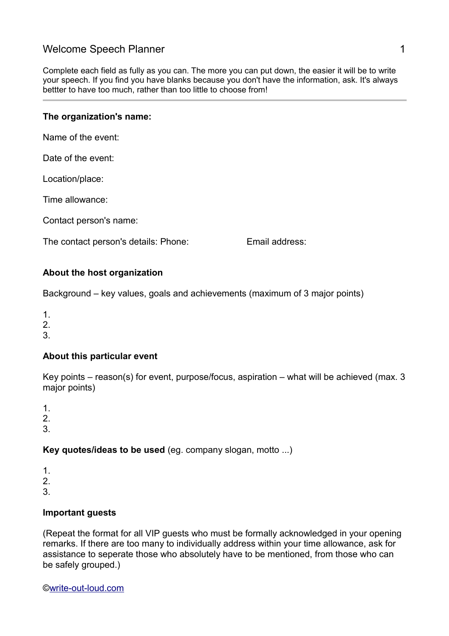# Welcome Speech Planner 1 and 1 and 1 and 1 and 1 and 1 and 1 and 1 and 1 and 1 and 1 and 1 and 1 and 1 and 1 and 1 and 1 and 1 and 1 and 1 and 1 and 1 and 1 and 1 and 1 and 1 and 1 and 1 and 1 and 1 and 1 and 1 and 1 and 1

Complete each field as fully as you can. The more you can put down, the easier it will be to write your speech. If you find you have blanks because you don't have the information, ask. It's always bettter to have too much, rather than too little to choose from!

#### **The organization's name:**

Name of the event:

Date of the event:

Location/place:

Time allowance:

Contact person's name:

The contact person's details: Phone: Email address:

#### **About the host organization**

Background – key values, goals and achievements (maximum of 3 major points)

1.

2.

3.

# **About this particular event**

Key points – reason(s) for event, purpose/focus, aspiration – what will be achieved (max. 3 major points)

1.

 $\mathcal{P}$ 

3.

## **Key quotes/ideas to be used** (eg. company slogan, motto ...)

- 1.
- $\mathcal{P}$
- 3.

## **Important guests**

(Repeat the format for all VIP guests who must be formally acknowledged in your opening remarks. If there are too many to individually address within your time allowance, ask for assistance to seperate those who absolutely have to be mentioned, from those who can be safely grouped.)

[©write-out-loud.com](http://www.write-out-loud.com/)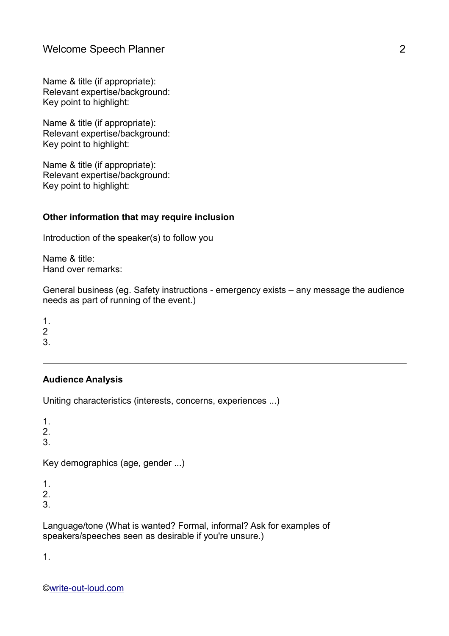Name & title (if appropriate): Relevant expertise/background: Key point to highlight:

Name & title (if appropriate): Relevant expertise/background: Key point to highlight:

Name & title (if appropriate): Relevant expertise/background: Key point to highlight:

#### **Other information that may require inclusion**

Introduction of the speaker(s) to follow you

Name & title: Hand over remarks:

General business (eg. Safety instructions - emergency exists – any message the audience needs as part of running of the event.)

1. 2

3.

## **Audience Analysis**

Uniting characteristics (interests, concerns, experiences ...)

1.

2.

3.

Key demographics (age, gender ...)

1.

 $\mathcal{P}$ 

3.

Language/tone (What is wanted? Formal, informal? Ask for examples of speakers/speeches seen as desirable if you're unsure.)

1.

[©write-out-loud.com](http://www.write-out-loud.com/)